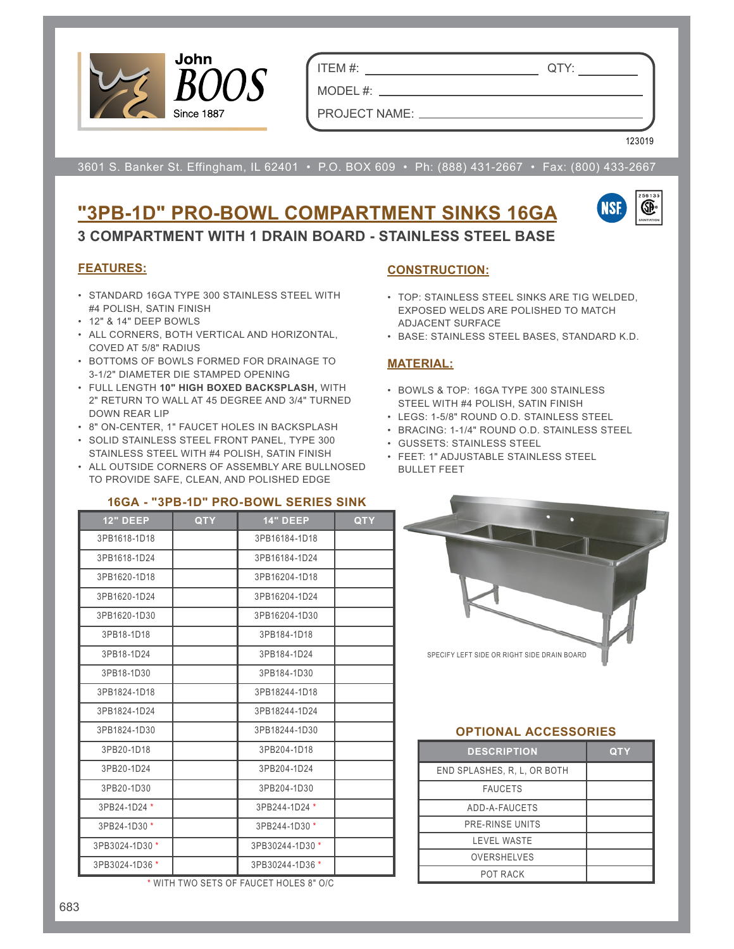

ITEM #: QTY:

PROJECT NAME:

MODEL#: \_\_

123019

3601 S. Banker St. Effingham, IL 62401 • P.O. BOX 609 • Ph: (888) 431-2667 • Fax: (800) 433-2667

## **"3PB-1D" PRO-BOWL COMPARTMENT SINKS 16GA 3 COMPARTMENT WITH 1 DRAIN BOARD - STAINLESS STEEL BASE**

### **FEATURES:**

- STANDARD 16GA TYPE 300 STAINLESS STEEL WITH #4 POLISH, SATIN FINISH
- 12" & 14" DEEP BOWLS
- ALL CORNERS, BOTH VERTICAL AND HORIZONTAL, COVED AT 5/8" RADIUS
- BOTTOMS OF BOWLS FORMED FOR DRAINAGE TO 3-1/2" DIAMETER DIE STAMPED OPENING
- FULL LENGTH **10" HIGH BOXED BACKSPLASH,** WITH 2" RETURN TO WALL AT 45 DEGREE AND 3/4" TURNED DOWN REAR LIP
- 8" ON-CENTER, 1" FAUCET HOLES IN BACKSPLASH
- SOLID STAINLESS STEEL FRONT PANEL, TYPE 300 STAINLESS STEEL WITH #4 POLISH, SATIN FINISH
- ALL OUTSIDE CORNERS OF ASSEMBLY ARE BULLNOSED TO PROVIDE SAFE, CLEAN, AND POLISHED EDGE

#### **16GA - "3PB-1D" PRO-BOWL SERIES SINK**

| <b>12" DEEP</b> | <b>QTY</b> | <b>14" DEEP</b> | <b>QTY</b> |
|-----------------|------------|-----------------|------------|
| 3PB1618-1D18    |            | 3PB16184-1D18   |            |
| 3PB1618-1D24    |            | 3PB16184-1D24   |            |
| 3PB1620-1D18    |            | 3PB16204-1D18   |            |
| 3PB1620-1D24    |            | 3PB16204-1D24   |            |
| 3PB1620-1D30    |            | 3PB16204-1D30   |            |
| 3PB18-1D18      |            | 3PB184-1D18     |            |
| 3PB18-1D24      |            | 3PB184-1D24     |            |
| 3PB18-1D30      |            | 3PB184-1D30     |            |
| 3PB1824-1D18    |            | 3PB18244-1D18   |            |
| 3PB1824-1D24    |            | 3PB18244-1D24   |            |
| 3PB1824-1D30    |            | 3PB18244-1D30   |            |
| 3PB20-1D18      |            | 3PB204-1D18     |            |
| 3PB20-1D24      |            | 3PB204-1D24     |            |
| 3PB20-1D30      |            | 3PB204-1D30     |            |
| 3PB24-1D24 *    |            | 3PB244-1D24 *   |            |
| 3PB24-1D30 *    |            | 3PB244-1D30 *   |            |
| 3PB3024-1D30 *  |            | 3PB30244-1D30 * |            |
| 3PB3024-1D36 *  |            | 3PB30244-1D36 * |            |

\* WITH TWO SETS OF FAUCET HOLES 8" O/C

### **CONSTRUCTION:**

- TOP: STAINLESS STEEL SINKS ARE TIG WELDED, EXPOSED WELDS ARE POLISHED TO MATCH ADJACENT SURFACE
- BASE: STAINLESS STEEL BASES, STANDARD K.D.

#### **MATERIAL:**

- BOWLS & TOP: 16GA TYPE 300 STAINLESS STEEL WITH #4 POLISH, SATIN FINISH
- LEGS: 1-5/8" ROUND O.D. STAINLESS STEEL
- BRACING: 1-1/4" ROUND O.D. STAINLESS STEEL
- GUSSETS: STAINLESS STEEL
- FEET: 1" ADJUSTABLE STAINLESS STEEL BULLET FEET



#### **OPTIONAL ACCESSORIES**

| <b>DESCRIPTION</b>          | <b>QTY</b> |
|-----------------------------|------------|
| END SPLASHES, R. L. OR BOTH |            |
| <b>FAUCETS</b>              |            |
| ADD-A-FAUCETS               |            |
| PRE-RINSE UNITS             |            |
| <b>LEVEL WASTE</b>          |            |
| <b>OVERSHELVES</b>          |            |
| POT RACK                    |            |